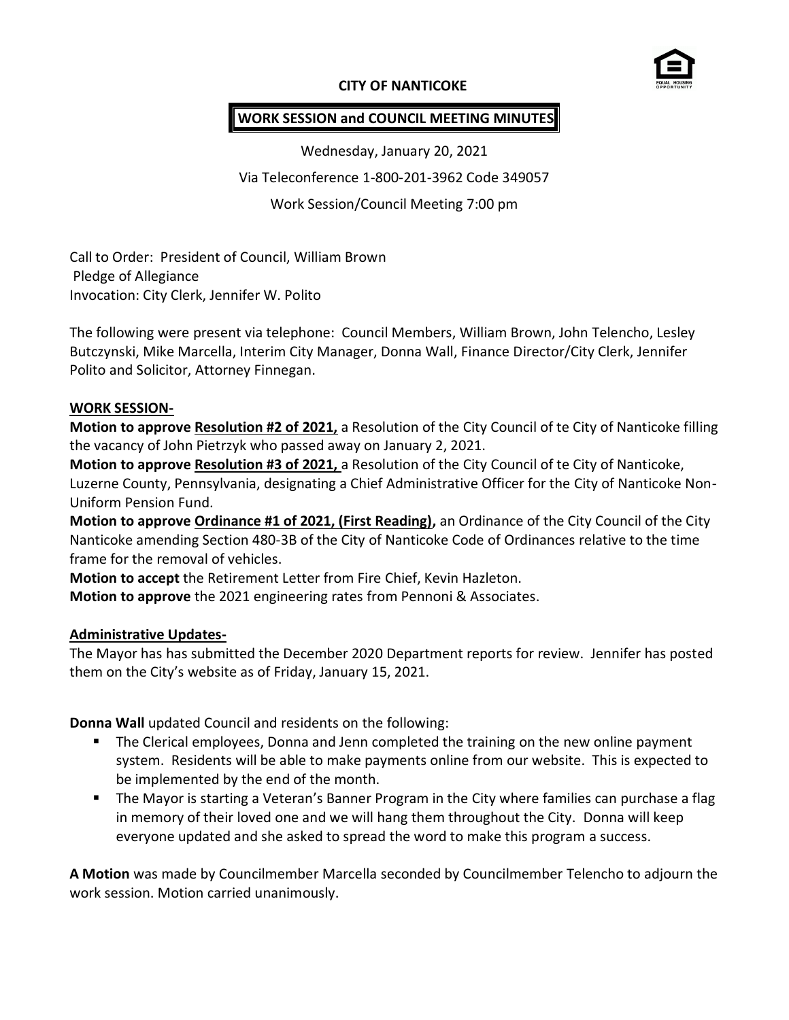### **CITY OF NANTICOKE**



#### **WORK SESSION and COUNCIL MEETING MINUTES**

Wednesday, January 20, 2021 Via Teleconference 1-800-201-3962 Code 349057 Work Session/Council Meeting 7:00 pm

Call to Order: President of Council, William Brown Pledge of Allegiance Invocation: City Clerk, Jennifer W. Polito

The following were present via telephone: Council Members, William Brown, John Telencho, Lesley Butczynski, Mike Marcella, Interim City Manager, Donna Wall, Finance Director/City Clerk, Jennifer Polito and Solicitor, Attorney Finnegan.

#### **WORK SESSION-**

**Motion to approve Resolution #2 of 2021,** a Resolution of the City Council of te City of Nanticoke filling the vacancy of John Pietrzyk who passed away on January 2, 2021.

**Motion to approve Resolution #3 of 2021,** a Resolution of the City Council of te City of Nanticoke, Luzerne County, Pennsylvania, designating a Chief Administrative Officer for the City of Nanticoke Non-Uniform Pension Fund.

**Motion to approve Ordinance #1 of 2021, (First Reading),** an Ordinance of the City Council of the City Nanticoke amending Section 480-3B of the City of Nanticoke Code of Ordinances relative to the time frame for the removal of vehicles.

**Motion to accept** the Retirement Letter from Fire Chief, Kevin Hazleton.

**Motion to approve** the 2021 engineering rates from Pennoni & Associates.

#### **Administrative Updates-**

The Mayor has has submitted the December 2020 Department reports for review. Jennifer has posted them on the City's website as of Friday, January 15, 2021.

**Donna Wall** updated Council and residents on the following:

- **The Clerical employees, Donna and Jenn completed the training on the new online payment** system. Residents will be able to make payments online from our website. This is expected to be implemented by the end of the month.
- **The Mayor is starting a Veteran's Banner Program in the City where families can purchase a flag Thang** in memory of their loved one and we will hang them throughout the City. Donna will keep everyone updated and she asked to spread the word to make this program a success.

**A Motion** was made by Councilmember Marcella seconded by Councilmember Telencho to adjourn the work session. Motion carried unanimously.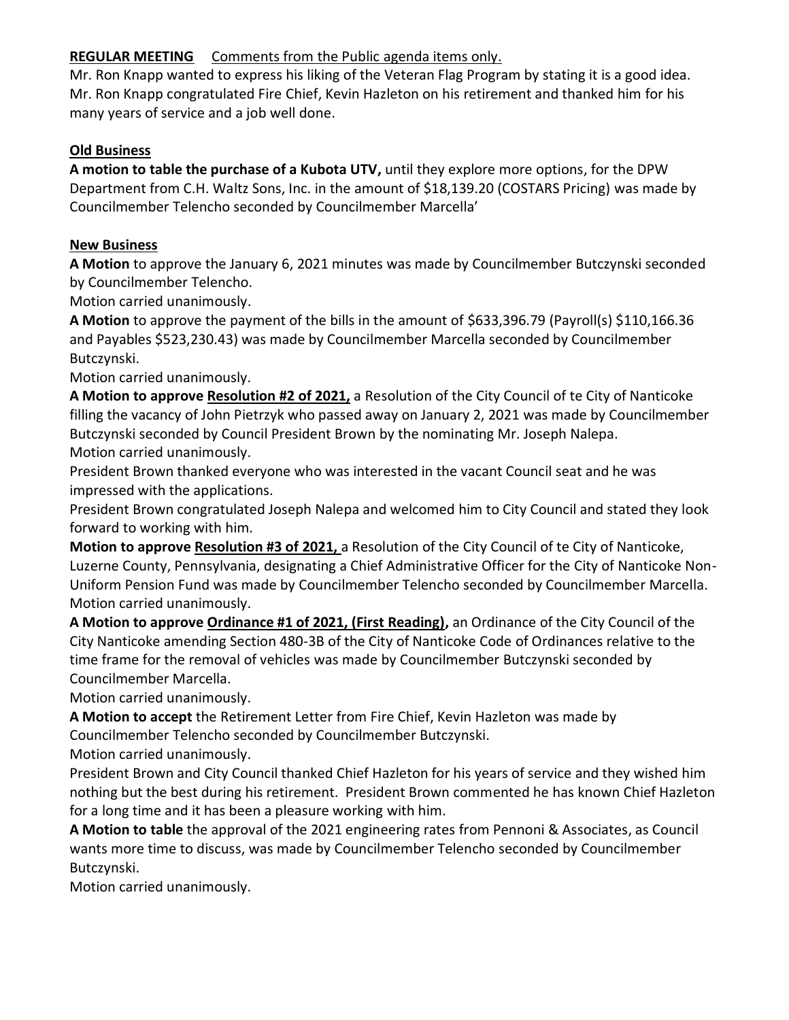### **REGULAR MEETING** Comments from the Public agenda items only.

Mr. Ron Knapp wanted to express his liking of the Veteran Flag Program by stating it is a good idea. Mr. Ron Knapp congratulated Fire Chief, Kevin Hazleton on his retirement and thanked him for his many years of service and a job well done.

## **Old Business**

**A motion to table the purchase of a Kubota UTV,** until they explore more options, for the DPW Department from C.H. Waltz Sons, Inc. in the amount of \$18,139.20 (COSTARS Pricing) was made by Councilmember Telencho seconded by Councilmember Marcella'

### **New Business**

**A Motion** to approve the January 6, 2021 minutes was made by Councilmember Butczynski seconded by Councilmember Telencho.

Motion carried unanimously.

**A Motion** to approve the payment of the bills in the amount of \$633,396.79 (Payroll(s) \$110,166.36 and Payables \$523,230.43) was made by Councilmember Marcella seconded by Councilmember Butczynski.

Motion carried unanimously.

**A Motion to approve Resolution #2 of 2021,** a Resolution of the City Council of te City of Nanticoke filling the vacancy of John Pietrzyk who passed away on January 2, 2021 was made by Councilmember Butczynski seconded by Council President Brown by the nominating Mr. Joseph Nalepa. Motion carried unanimously.

President Brown thanked everyone who was interested in the vacant Council seat and he was impressed with the applications.

President Brown congratulated Joseph Nalepa and welcomed him to City Council and stated they look forward to working with him.

**Motion to approve Resolution #3 of 2021,** a Resolution of the City Council of te City of Nanticoke, Luzerne County, Pennsylvania, designating a Chief Administrative Officer for the City of Nanticoke Non-Uniform Pension Fund was made by Councilmember Telencho seconded by Councilmember Marcella. Motion carried unanimously.

**A Motion to approve Ordinance #1 of 2021, (First Reading),** an Ordinance of the City Council of the City Nanticoke amending Section 480-3B of the City of Nanticoke Code of Ordinances relative to the time frame for the removal of vehicles was made by Councilmember Butczynski seconded by Councilmember Marcella.

Motion carried unanimously.

**A Motion to accept** the Retirement Letter from Fire Chief, Kevin Hazleton was made by Councilmember Telencho seconded by Councilmember Butczynski.

Motion carried unanimously.

President Brown and City Council thanked Chief Hazleton for his years of service and they wished him nothing but the best during his retirement. President Brown commented he has known Chief Hazleton for a long time and it has been a pleasure working with him.

**A Motion to table** the approval of the 2021 engineering rates from Pennoni & Associates, as Council wants more time to discuss, was made by Councilmember Telencho seconded by Councilmember Butczynski.

Motion carried unanimously.